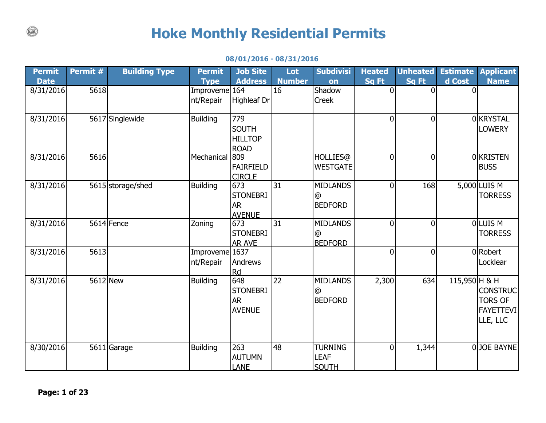## **Hoke Monthly Residential Permits**

## **08/01/2016 - 08/31/2016**

| <b>Permit</b> | Permit # | <b>Building Type</b> | <b>Permit</b>               | <b>Job Site</b>                                      | Lot           | <b>Subdivisi</b>                                | <b>Heated</b>  | <b>Unheated</b> | <b>Estimate</b> | <b>Applicant</b>                                                  |
|---------------|----------|----------------------|-----------------------------|------------------------------------------------------|---------------|-------------------------------------------------|----------------|-----------------|-----------------|-------------------------------------------------------------------|
| <b>Date</b>   |          |                      | <b>Type</b>                 | <b>Address</b>                                       | <b>Number</b> | on                                              | <b>Sq Ft</b>   | <b>Sq Ft</b>    | d Cost          | <b>Name</b>                                                       |
| 8/31/2016     | 5618     |                      | Improveme 164<br>nt/Repair  | <b>Highleaf Dr</b>                                   | 16            | Shadow<br>Creek                                 | $\overline{0}$ | $\overline{0}$  | $\Omega$        |                                                                   |
| 8/31/2016     |          | 5617 Singlewide      | <b>Building</b>             | 779<br><b>SOUTH</b><br><b>HILLTOP</b><br><b>ROAD</b> |               |                                                 | $\overline{0}$ | $\overline{0}$  |                 | 0 KRYSTAL<br><b>LOWERY</b>                                        |
| 8/31/2016     | 5616     |                      | Mechanical                  | 809<br><b>FAIRFIELD</b><br><b>CIRCLE</b>             |               | <b>HOLLIES</b> @<br><b>WESTGATE</b>             | $\overline{0}$ | $\overline{0}$  |                 | 0 KRISTEN<br><b>BUSS</b>                                          |
| 8/31/2016     |          | 5615 storage/shed    | <b>Building</b>             | 673<br><b>STONEBRI</b><br><b>AR</b><br><b>AVENUE</b> | 31            | <b>MIDLANDS</b><br>$^{\circ}$<br><b>BEDFORD</b> | $\overline{0}$ | 168             |                 | 5,000 LUIS M<br><b>TORRESS</b>                                    |
| 8/31/2016     |          | 5614 Fence           | Zoning                      | 673<br><b>STONEBRI</b><br><b>AR AVE</b>              | 31            | <b>MIDLANDS</b><br>$^{\circ}$<br><b>BEDFORD</b> | $\overline{0}$ | $\overline{0}$  |                 | OLUIS <sub>M</sub><br><b>TORRESS</b>                              |
| 8/31/2016     | 5613     |                      | Improveme 1637<br>nt/Repair | Andrews<br><b>Rd</b>                                 |               |                                                 | $\overline{0}$ | $\overline{0}$  |                 | 0 Robert<br>Locklear                                              |
| 8/31/2016     | 5612 New |                      | <b>Building</b>             | 648<br><b>STONEBRI</b><br><b>AR</b><br><b>AVENUE</b> | 22            | <b>MIDLANDS</b><br>$^{\circ}$<br><b>BEDFORD</b> | 2,300          | 634             | 115,950 H & H   | <b>CONSTRUC</b><br><b>TORS OF</b><br><b>FAYETTEVI</b><br>LLE, LLC |
| 8/30/2016     |          | 5611 Garage          | <b>Building</b>             | 263<br><b>AUTUMN</b><br><b>LANE</b>                  | 48            | <b>TURNING</b><br><b>LEAF</b><br><b>SOUTH</b>   | $\overline{0}$ | 1,344           |                 | 0JOE BAYNE                                                        |

 $\binom{1}{k}$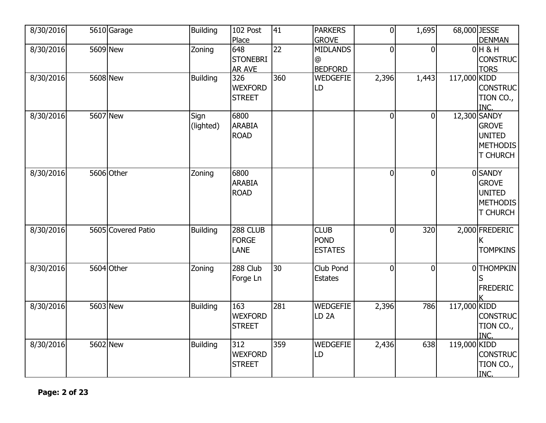| 8/30/2016 | 5610 Garage        | <b>Building</b>   | 102 Post                                         | 41  | <b>PARKERS</b>                                         | $\overline{0}$ | 1,695          | 68,000 JESSE |                                                                              |
|-----------|--------------------|-------------------|--------------------------------------------------|-----|--------------------------------------------------------|----------------|----------------|--------------|------------------------------------------------------------------------------|
| 8/30/2016 | 5609 New           | Zoning            | Place<br>648<br><b>STONEBRI</b><br><b>AR AVE</b> | 22  | <b>GROVE</b><br><b>MIDLANDS</b><br>@<br><b>BEDFORD</b> | $\overline{0}$ | $\mathbf 0$    |              | <b>DENMAN</b><br>$0H$ & H<br><b>CONSTRUC</b><br><b>TORS</b>                  |
| 8/30/2016 | 5608 New           | <b>Building</b>   | 326<br><b>WEXFORD</b><br><b>STREET</b>           | 360 | <b>WEDGEFIE</b><br>LD                                  | 2,396          | 1,443          | 117,000 KIDD | <b>CONSTRUC</b><br>TION CO.,<br><b>INC</b>                                   |
| 8/30/2016 | 5607 New           | Sign<br>(lighted) | 6800<br><b>ARABIA</b><br><b>ROAD</b>             |     |                                                        | $\overline{0}$ | $\mathbf 0$    |              | 12,300 SANDY<br><b>GROVE</b><br><b>UNITED</b><br>METHODIS<br><b>T CHURCH</b> |
| 8/30/2016 | 5606 Other         | Zoning            | 6800<br><b>ARABIA</b><br><b>ROAD</b>             |     |                                                        | $\overline{0}$ | $\mathbf 0$    |              | 0 SANDY<br><b>GROVE</b><br><b>UNITED</b><br>METHODIS<br><b>T CHURCH</b>      |
| 8/30/2016 | 5605 Covered Patio | <b>Building</b>   | 288 CLUB<br><b>FORGE</b><br><b>LANE</b>          |     | <b>CLUB</b><br><b>POND</b><br><b>ESTATES</b>           | $\Omega$       | 320            |              | 2,000 FREDERIC<br><b>TOMPKINS</b>                                            |
| 8/30/2016 | 5604 Other         | Zoning            | 288 Club<br>Forge Ln                             | 30  | Club Pond<br><b>Estates</b>                            | $\overline{0}$ | $\overline{0}$ |              | 0 THOMPKIN<br><b>FREDERIC</b>                                                |
| 8/30/2016 | 5603 New           | Building          | 163<br><b>WEXFORD</b><br><b>STREET</b>           | 281 | <b>WEDGEFIE</b><br>LD <sub>2</sub> A                   | 2,396          | 786            | 117,000 KIDD | <b>CONSTRUC</b><br>TION CO.,<br>INC.                                         |
| 8/30/2016 | 5602 New           | <b>Building</b>   | 312<br><b>WEXFORD</b><br><b>STREET</b>           | 359 | <b>WEDGEFIE</b><br>LD                                  | 2,436          | 638            | 119,000 KIDD | <b>CONSTRUC</b><br>TION CO.,<br>INC.                                         |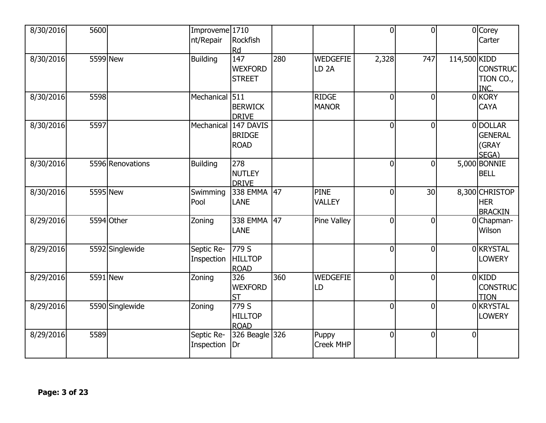| 8/30/2016 | 5600 |                  | Improveme 1710<br>nt/Repair | Rockfish<br>Rd                            |     |                                     | $\overline{0}$ | $\overline{0}$ |              | 0 Corey<br>Carter                              |
|-----------|------|------------------|-----------------------------|-------------------------------------------|-----|-------------------------------------|----------------|----------------|--------------|------------------------------------------------|
| 8/30/2016 |      | 5599 New         | <b>Building</b>             | 147<br><b>WEXFORD</b><br><b>STREET</b>    | 280 | <b>WEDGEFIE</b><br>LD <sub>2A</sub> | 2,328          | 747            | 114,500 KIDD | <b>CONSTRUC</b><br>TION CO.,<br>INC.           |
| 8/30/2016 | 5598 |                  | Mechanical 511              | <b>BERWICK</b><br><b>DRIVE</b>            |     | <b>RIDGE</b><br><b>MANOR</b>        | $\overline{0}$ | $\overline{0}$ |              | 0 KORY<br><b>CAYA</b>                          |
| 8/30/2016 | 5597 |                  | Mechanical                  | 147 DAVIS<br><b>BRIDGE</b><br><b>ROAD</b> |     |                                     | $\overline{0}$ | $\overline{0}$ |              | 0 DOLLAR<br><b>GENERAL</b><br>(GRAY<br>SEGA)   |
| 8/30/2016 |      | 5596 Renovations | <b>Building</b>             | 278<br><b>NUTLEY</b><br><b>DRIVE</b>      |     |                                     | $\Omega$       | $\overline{0}$ |              | 5,000 BONNIE<br><b>BELL</b>                    |
| 8/30/2016 |      | 5595 New         | Swimming<br>Pool            | 338 EMMA<br><b>LANE</b>                   | 47  | <b>PINE</b><br><b>VALLEY</b>        | $\overline{0}$ | 30             |              | 8,300 CHRISTOP<br><b>HER</b><br><b>BRACKIN</b> |
| 8/29/2016 |      | 5594 Other       | Zoning                      | 338 EMMA<br><b>LANE</b>                   | 47  | <b>Pine Valley</b>                  | $\overline{0}$ | $\mathbf 0$    |              | 0Chapman-<br>Wilson                            |
| 8/29/2016 |      | 5592 Singlewide  | Septic Re-<br>Inspection    | 779S<br><b>HILLTOP</b><br><b>ROAD</b>     |     |                                     | $\Omega$       | $\overline{0}$ |              | 0 KRYSTAL<br><b>LOWERY</b>                     |
| 8/29/2016 |      | 5591 New         | Zoning                      | 326<br><b>WEXFORD</b><br><b>ST</b>        | 360 | <b>WEDGEFIE</b><br>LD               | $\overline{0}$ | $\overline{0}$ |              | $0$ KIDD<br><b>CONSTRUC</b><br><b>TION</b>     |
| 8/29/2016 |      | 5590 Singlewide  | Zoning                      | 779 S<br><b>HILLTOP</b><br><b>ROAD</b>    |     |                                     | $\Omega$       | $\overline{0}$ |              | 0 KRYSTAL<br><b>LOWERY</b>                     |
| 8/29/2016 | 5589 |                  | Septic Re-<br>Inspection    | 326 Beagle 326<br>Dr                      |     | Puppy<br><b>Creek MHP</b>           | $\mathbf{0}$   | $\overline{0}$ | $\Omega$     |                                                |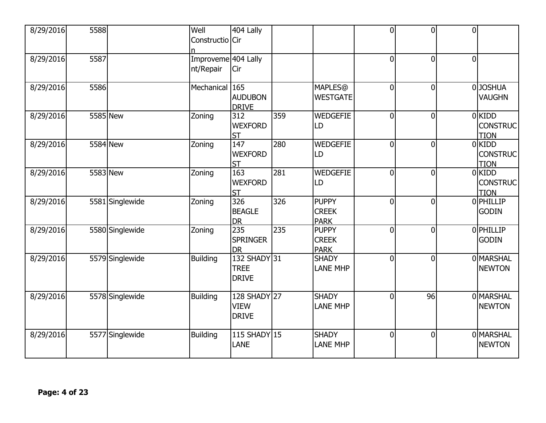| 8/29/2016 | 5588     |                 | Well<br>Constructio Cir          | 404 Lally                                       |     |                                             | $\overline{0}$ | $\overline{0}$ | $\overline{0}$ |                                            |
|-----------|----------|-----------------|----------------------------------|-------------------------------------------------|-----|---------------------------------------------|----------------|----------------|----------------|--------------------------------------------|
| 8/29/2016 | 5587     |                 | Improveme 404 Lally<br>nt/Repair | Cir                                             |     |                                             | $\Omega$       | $\overline{0}$ | $\overline{0}$ |                                            |
| 8/29/2016 | 5586     |                 | Mechanical 165                   | <b>AUDUBON</b><br><b>DRIVE</b>                  |     | <b>MAPLES</b> @<br><b>WESTGATE</b>          | $\overline{0}$ | $\overline{0}$ |                | 0 JOSHUA<br><b>VAUGHN</b>                  |
| 8/29/2016 | 5585 New |                 | Zoning                           | 312<br><b>WEXFORD</b><br><b>ST</b>              | 359 | <b>WEDGEFIE</b><br>LD                       | $\overline{0}$ | $\overline{0}$ |                | 0KIDD<br><b>CONSTRUC</b><br><b>TION</b>    |
| 8/29/2016 | 5584 New |                 | Zoning                           | $\overline{147}$<br><b>WEXFORD</b><br><b>ST</b> | 280 | <b>WEDGEFIE</b><br>LD                       | $\overline{0}$ | $\overline{0}$ |                | $0$ KIDD<br><b>CONSTRUC</b><br><b>TION</b> |
| 8/29/2016 | 5583 New |                 | Zoning                           | 163<br><b>WEXFORD</b><br><b>ST</b>              | 281 | <b>WEDGEFIE</b><br>LD                       | $\overline{0}$ | $\overline{0}$ |                | 0KIDD<br><b>CONSTRUC</b><br><b>TION</b>    |
| 8/29/2016 |          | 5581 Singlewide | Zoning                           | 326<br><b>BEAGLE</b><br><b>DR</b>               | 326 | <b>PUPPY</b><br><b>CREEK</b><br><b>PARK</b> | $\overline{0}$ | $\overline{0}$ |                | 0 PHILLIP<br><b>GODIN</b>                  |
| 8/29/2016 |          | 5580 Singlewide | Zoning                           | 235<br><b>SPRINGER</b><br><b>DR</b>             | 235 | <b>PUPPY</b><br><b>CREEK</b><br><b>PARK</b> | $\overline{0}$ | $\overline{0}$ |                | 0 PHILLIP<br><b>GODIN</b>                  |
| 8/29/2016 |          | 5579 Singlewide | <b>Building</b>                  | 132 SHADY 31<br><b>TREE</b><br><b>DRIVE</b>     |     | <b>SHADY</b><br><b>LANE MHP</b>             | $\overline{0}$ | $\overline{0}$ |                | 0 MARSHAL<br><b>NEWTON</b>                 |
| 8/29/2016 |          | 5578 Singlewide | <b>Building</b>                  | 128 SHADY 27<br><b>VIEW</b><br><b>DRIVE</b>     |     | <b>SHADY</b><br><b>LANE MHP</b>             | $\overline{0}$ | 96             |                | 0 MARSHAL<br><b>NEWTON</b>                 |
| 8/29/2016 |          | 5577 Singlewide | <b>Building</b>                  | 115 SHADY 15<br>LANE                            |     | <b>SHADY</b><br><b>LANE MHP</b>             | $\overline{0}$ | $\overline{0}$ |                | 0 MARSHAL<br><b>NEWTON</b>                 |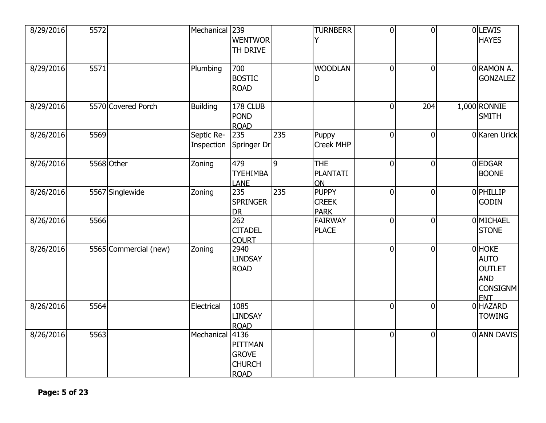| 8/29/2016 | 5572 |                       | Mechanical 239           | <b>WENTWOR</b><br>TH DRIVE                              |     | <b>TURNBERR</b><br>Y                        | $\overline{0}$ | $\overline{0}$ | 0LEWIS<br><b>HAYES</b>                                                                |
|-----------|------|-----------------------|--------------------------|---------------------------------------------------------|-----|---------------------------------------------|----------------|----------------|---------------------------------------------------------------------------------------|
| 8/29/2016 | 5571 |                       | Plumbing                 | 700<br><b>BOSTIC</b><br><b>ROAD</b>                     |     | <b>WOODLAN</b><br>D                         | $\overline{0}$ | $\overline{0}$ | 0RAMON A.<br><b>GONZALEZ</b>                                                          |
| 8/29/2016 |      | 5570 Covered Porch    | <b>Building</b>          | 178 CLUB<br><b>POND</b><br><b>ROAD</b>                  |     |                                             | 0              | 204            | 1,000 RONNIE<br><b>SMITH</b>                                                          |
| 8/26/2016 | 5569 |                       | Septic Re-<br>Inspection | 235<br>Springer Dr                                      | 235 | Puppy<br><b>Creek MHP</b>                   | $\mathbf 0$    | $\overline{0}$ | 0 Karen Urick                                                                         |
| 8/26/2016 |      | 5568 Other            | Zoning                   | 479<br><b>TYEHIMBA</b><br><b>LANE</b>                   | 9   | <b>THE</b><br><b>PLANTATI</b><br>ON         | $\overline{0}$ | $\overline{0}$ | 0 EDGAR<br><b>BOONE</b>                                                               |
| 8/26/2016 |      | 5567 Singlewide       | Zoning                   | 235<br><b>SPRINGER</b><br><b>DR</b>                     | 235 | <b>PUPPY</b><br><b>CREEK</b><br><b>PARK</b> | $\mathbf 0$    | $\overline{0}$ | 0 PHILLIP<br><b>GODIN</b>                                                             |
| 8/26/2016 | 5566 |                       |                          | $\overline{262}$<br><b>CITADEL</b><br><b>COURT</b>      |     | <b>FAIRWAY</b><br><b>PLACE</b>              | $\overline{0}$ | $\overline{0}$ | 0 MICHAEL<br><b>STONE</b>                                                             |
| 8/26/2016 |      | 5565 Commercial (new) | Zoning                   | 2940<br><b>LINDSAY</b><br><b>ROAD</b>                   |     |                                             | $\overline{0}$ | $\overline{0}$ | 0 HOKE<br><b>AUTO</b><br><b>OUTLET</b><br><b>AND</b><br><b>CONSIGNM</b><br><b>ENT</b> |
| 8/26/2016 | 5564 |                       | Electrical               | 1085<br><b>LINDSAY</b><br><b>ROAD</b>                   |     |                                             | $\overline{0}$ | $\overline{0}$ | 0 HAZARD<br><b>TOWING</b>                                                             |
| 8/26/2016 | 5563 |                       | Mechanical 4136          | PITTMAN<br><b>GROVE</b><br><b>CHURCH</b><br><b>ROAD</b> |     |                                             | $\overline{0}$ | $\overline{0}$ | 0 ANN DAVIS                                                                           |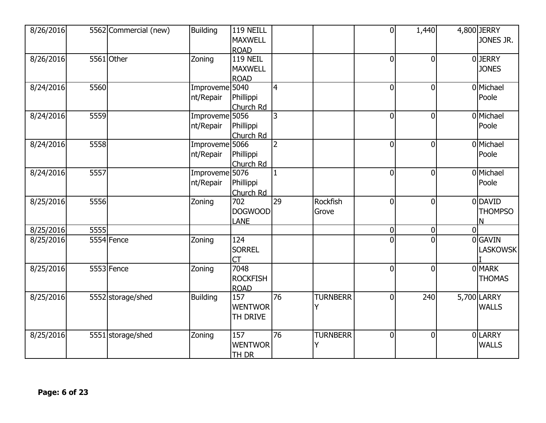| <b>MAXWELL</b>                                                                                               | JONES JR.      |
|--------------------------------------------------------------------------------------------------------------|----------------|
|                                                                                                              |                |
| <b>ROAD</b>                                                                                                  |                |
| 5561 Other<br><b>119 NEIL</b><br>8/26/2016<br>Zoning<br>$\overline{0}$<br>$\overline{0}$                     | 0JERRY         |
| <b>MAXWELL</b>                                                                                               | <b>JONES</b>   |
| <b>ROAD</b>                                                                                                  |                |
| 8/24/2016<br>Improveme 5040<br>5560<br>$\overline{4}$<br>$\overline{0}$<br>$\mathbf 0$                       | 0 Michael      |
| Phillippi<br>nt/Repair                                                                                       | Poole          |
| Church Rd                                                                                                    |                |
| 5559<br>Improveme 5056<br>3<br>8/24/2016<br>0<br>$\mathbf 0$                                                 | 0 Michael      |
| Phillippi<br>nt/Repair                                                                                       | Poole          |
| Church Rd                                                                                                    |                |
| Improveme <sup>5066</sup><br>$\overline{2}$<br>5558<br>8/24/2016<br>$\overline{0}$<br>$\mathbf 0$            | 0 Michael      |
| nt/Repair<br>Phillippi                                                                                       | Poole          |
| Church Rd                                                                                                    |                |
| 5557<br>8/24/2016<br>Improveme 5076<br>$\mathbf{1}$<br>$\Omega$<br>$\Omega$                                  | 0 Michael      |
| nt/Repair<br>Phillippi                                                                                       | Poole          |
| Church Rd                                                                                                    |                |
| $\overline{29}$<br>702<br><b>Rockfish</b><br>5556<br>Zoning<br>8/25/2016<br>$\overline{0}$<br>$\overline{0}$ | 0 DAVID        |
| <b>DOGWOOD</b><br>Grove                                                                                      | <b>THOMPSO</b> |
| <b>LANE</b>                                                                                                  | N              |
| $\Omega$<br>8/25/2016<br>5555<br>$\overline{0}$<br>$\mathbf 0$                                               |                |
| 5554 Fence<br>124<br>$\Omega$<br>8/25/2016<br>$\Omega$<br>Zoning                                             | 0 GAVIN        |
| <b>SORREL</b>                                                                                                | LASKOWSK       |
| <b>CT</b>                                                                                                    |                |
| 5553 Fence<br>7048<br>8/25/2016<br>Zoning<br>$\overline{0}$<br>$\overline{0}$                                | 0 MARK         |
| <b>ROCKFISH</b>                                                                                              | <b>THOMAS</b>  |
| <b>ROAD</b>                                                                                                  |                |
| <b>TURNBERR</b><br>8/25/2016<br>157<br>76<br>240<br>5552 storage/shed<br><b>Building</b><br>$\overline{0}$   | 5,700 LARRY    |
| <b>WENTWOR</b><br>Υ                                                                                          | <b>WALLS</b>   |
| TH DRIVE                                                                                                     |                |
|                                                                                                              |                |
| Zoning<br>157<br>76<br><b>TURNBERR</b><br>5551 storage/shed<br>$\overline{0}$<br>$\mathbf 0$<br>8/25/2016    | 0LARRY         |
| <b>WENTWOR</b><br>Y                                                                                          | <b>WALLS</b>   |
| <b>TH DR</b>                                                                                                 |                |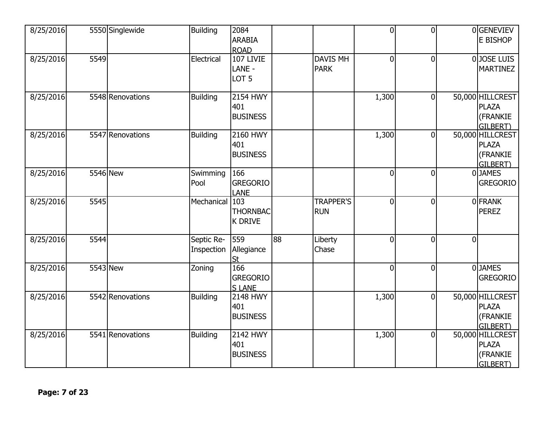| 8/25/2016 |      | 5550 Singlewide  | <b>Building</b>          | 2084<br><b>ARABIA</b><br><b>ROAD</b>      |    |                                | $\overline{0}$ | $\overline{0}$ |                | 0GENEVIEV<br>E BISHOP                                    |
|-----------|------|------------------|--------------------------|-------------------------------------------|----|--------------------------------|----------------|----------------|----------------|----------------------------------------------------------|
| 8/25/2016 | 5549 |                  | Electrical               | 107 LIVIE<br>LANE -<br>LOT <sub>5</sub>   |    | <b>DAVIS MH</b><br><b>PARK</b> | $\overline{0}$ | $\overline{0}$ |                | 0JOSE LUIS<br><b>MARTINEZ</b>                            |
| 8/25/2016 |      | 5548 Renovations | <b>Building</b>          | 2154 HWY<br>401<br><b>BUSINESS</b>        |    |                                | 1,300          | $\mathbf 0$    |                | 50,000 HILLCREST<br><b>PLAZA</b><br>(FRANKIE<br>GILBERT) |
| 8/25/2016 |      | 5547 Renovations | <b>Building</b>          | <b>2160 HWY</b><br>401<br><b>BUSINESS</b> |    |                                | 1,300          | $\mathbf 0$    |                | 50,000 HILLCREST<br><b>PLAZA</b><br>(FRANKIE<br>GILBERT) |
| 8/25/2016 |      | 5546 New         | Swimming<br>Pool         | 166<br><b>GREGORIO</b><br><b>LANE</b>     |    |                                | 0              | $\mathbf 0$    |                | <b>OJAMES</b><br><b>GREGORIO</b>                         |
| 8/25/2016 | 5545 |                  | Mechanical               | 103<br><b>THORNBAC</b><br><b>K DRIVE</b>  |    | <b>TRAPPER'S</b><br><b>RUN</b> | $\overline{0}$ | $\overline{0}$ |                | 0 FRANK<br><b>PEREZ</b>                                  |
| 8/25/2016 | 5544 |                  | Septic Re-<br>Inspection | 559<br>Allegiance<br><u>St</u>            | 88 | Liberty<br>Chase               | $\overline{0}$ | $\overline{0}$ | $\overline{0}$ |                                                          |
| 8/25/2016 |      | 5543 New         | Zoning                   | 166<br><b>GREGORIO</b><br><b>SLANE</b>    |    |                                | $\overline{0}$ | $\overline{0}$ |                | 0JAMES<br><b>GREGORIO</b>                                |
| 8/25/2016 |      | 5542 Renovations | <b>Building</b>          | <b>2148 HWY</b><br>401<br><b>BUSINESS</b> |    |                                | 1,300          | $\overline{0}$ |                | 50,000 HILLCREST<br><b>PLAZA</b><br>(FRANKIE<br>GILBERT) |
| 8/25/2016 |      | 5541 Renovations | Building                 | 2142 HWY<br>401<br><b>BUSINESS</b>        |    |                                | 1,300          | $\mathbf 0$    |                | 50,000 HILLCREST<br><b>PLAZA</b><br>(FRANKIE<br>GILBERT) |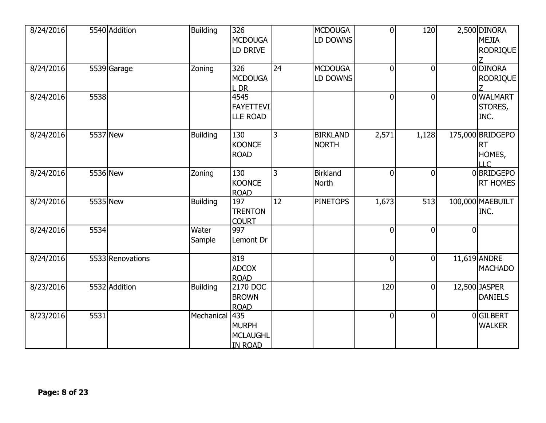| 8/24/2016 |      | 5540 Addition    | <b>Building</b> | 326<br><b>MCDOUGA</b><br>LD DRIVE                        |                 | <b>MCDOUGA</b><br>LD DOWNS      | $\overline{0}$ | 120            |                | 2,500 DINORA<br><b>MEJIA</b><br><b>RODRIQUE</b>       |
|-----------|------|------------------|-----------------|----------------------------------------------------------|-----------------|---------------------------------|----------------|----------------|----------------|-------------------------------------------------------|
| 8/24/2016 |      | 5539 Garage      | Zoning          | 326<br><b>MCDOUGA</b><br>L DR                            | 24              | <b>MCDOUGA</b><br>LD DOWNS      | $\overline{0}$ | $\overline{0}$ |                | 0 DINORA<br><b>RODRIQUE</b>                           |
| 8/24/2016 | 5538 |                  |                 | 4545<br><b>FAYETTEVI</b><br><b>LLE ROAD</b>              |                 |                                 | $\overline{0}$ | $\overline{0}$ |                | <b>OWALMART</b><br>STORES,<br>INC.                    |
| 8/24/2016 |      | 5537 New         | <b>Building</b> | 130<br><b>KOONCE</b><br><b>ROAD</b>                      | $\overline{3}$  | <b>BIRKLAND</b><br><b>NORTH</b> | 2,571          | 1,128          |                | 175,000 BRIDGEPO<br><b>RT</b><br>HOMES,<br><b>LLC</b> |
| 8/24/2016 |      | 5536 New         | Zoning          | 130<br><b>KOONCE</b><br><b>ROAD</b>                      | 3               | <b>Birkland</b><br><b>North</b> | $\overline{0}$ | $\overline{0}$ |                | 0 BRIDGEPO<br><b>RT HOMES</b>                         |
| 8/24/2016 |      | 5535 New         | <b>Building</b> | 197<br><b>TRENTON</b><br><b>COURT</b>                    | $\overline{12}$ | <b>PINETOPS</b>                 | 1,673          | 513            |                | 100,000 MAEBUILT<br>INC.                              |
| 8/24/2016 | 5534 |                  | Water<br>Sample | 997<br>Lemont Dr                                         |                 |                                 | $\overline{0}$ | 0              | $\overline{0}$ |                                                       |
| 8/24/2016 |      | 5533 Renovations |                 | 819<br><b>ADCOX</b><br><b>ROAD</b>                       |                 |                                 | $\overline{0}$ | $\mathbf 0$    |                | 11,619 ANDRE<br><b>MACHADO</b>                        |
| 8/23/2016 |      | 5532 Addition    | <b>Building</b> | 2170 DOC<br><b>BROWN</b><br><b>ROAD</b>                  |                 |                                 | 120            | $\overline{0}$ |                | 12,500 JASPER<br><b>DANIELS</b>                       |
| 8/23/2016 | 5531 |                  | Mechanical      | 435<br><b>MURPH</b><br><b>MCLAUGHL</b><br><b>IN ROAD</b> |                 |                                 | $\overline{0}$ | $\overline{0}$ |                | 0GILBERT<br><b>WALKER</b>                             |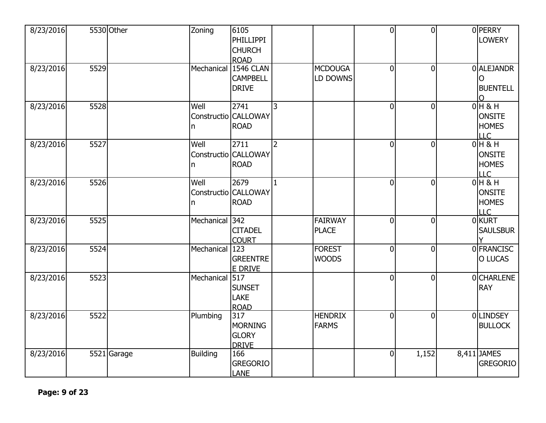| 8/23/2016 |      | 5530 Other  | Zoning          | 6105<br>PHILLIPPI<br><b>CHURCH</b><br><b>ROAD</b>     |                |                                | $\overline{0}$ | $\overline{0}$ | <b>O</b> PERRY<br><b>LOWERY</b>                         |
|-----------|------|-------------|-----------------|-------------------------------------------------------|----------------|--------------------------------|----------------|----------------|---------------------------------------------------------|
| 8/23/2016 | 5529 |             | Mechanical      | <b>1546 CLAN</b><br><b>CAMPBELL</b><br><b>DRIVE</b>   |                | <b>MCDOUGA</b><br>LD DOWNS     | $\mathbf 0$    | $\overline{0}$ | 0 ALEJANDR<br>O<br><b>BUENTELL</b><br>∩                 |
| 8/23/2016 | 5528 |             | Well<br>n       | 2741<br>Constructio CALLOWAY<br><b>ROAD</b>           | 3              |                                | $\mathbf 0$    | $\overline{0}$ | $0H$ & H<br><b>ONSITE</b><br><b>HOMES</b><br><b>LLC</b> |
| 8/23/2016 | 5527 |             | Well<br>n       | 2711<br>Constructio CALLOWAY<br><b>ROAD</b>           | $\overline{2}$ |                                | $\overline{0}$ | $\overline{0}$ | $0H$ & H<br><b>ONSITE</b><br><b>HOMES</b><br><b>LLC</b> |
| 8/23/2016 | 5526 |             | Well<br>In.     | 2679<br>Constructio CALLOWAY<br><b>ROAD</b>           | $\mathbf{1}$   |                                | $\overline{0}$ | $\overline{0}$ | $0H$ & H<br><b>ONSITE</b><br><b>HOMES</b><br>LLC        |
| 8/23/2016 | 5525 |             | Mechanical      | 342<br><b>CITADEL</b><br><b>COURT</b>                 |                | FAIRWAY<br><b>PLACE</b>        | 0              | $\overline{0}$ | 0 KURT<br><b>SAULSBUR</b>                               |
| 8/23/2016 | 5524 |             | Mechanical      | 123<br><b>GREENTRE</b><br>E DRIVE                     |                | <b>FOREST</b><br><b>WOODS</b>  | $\overline{0}$ | $\overline{0}$ | 0 FRANCISC<br>O LUCAS                                   |
| 8/23/2016 | 5523 |             | Mechanical      | 517<br><b>SUNSET</b><br><b>LAKE</b><br><b>ROAD</b>    |                |                                | 0              | $\mathbf 0$    | 0 CHARLENE<br><b>RAY</b>                                |
| 8/23/2016 | 5522 |             | Plumbing        | 317<br><b>MORNING</b><br><b>GLORY</b><br><b>DRIVE</b> |                | <b>HENDRIX</b><br><b>FARMS</b> | 0              | $\mathbf 0$    | <b>OLINDSEY</b><br><b>BULLOCK</b>                       |
| 8/23/2016 |      | 5521 Garage | <b>Building</b> | 166<br><b>GREGORIO</b><br>LANE                        |                |                                | $\mathbf 0$    | 1,152          | 8,411 JAMES<br><b>GREGORIO</b>                          |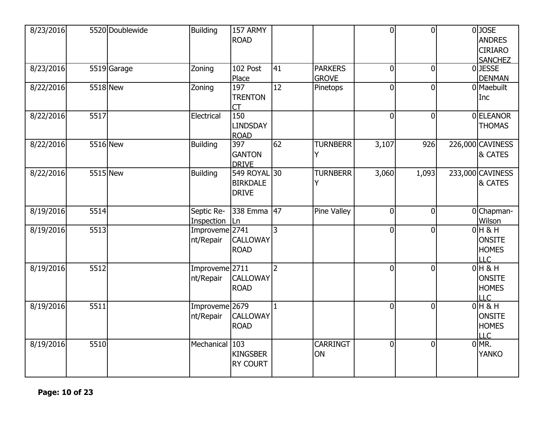| 8/23/2016 |          | 5520 Doublewide | <b>Building</b>                        | 157 ARMY<br><b>ROAD</b>                         |                |                                | $\overline{0}$ | $\overline{0}$ | $0$ JOSE<br><b>ANDRES</b><br><b>CIRIARO</b><br><b>SANCHEZ</b> |
|-----------|----------|-----------------|----------------------------------------|-------------------------------------------------|----------------|--------------------------------|----------------|----------------|---------------------------------------------------------------|
| 8/23/2016 |          | 5519 Garage     | Zoning                                 | 102 Post<br>Place                               | 41             | <b>PARKERS</b><br><b>GROVE</b> | $\overline{0}$ | $\overline{0}$ | 0JESSE<br><b>DENMAN</b>                                       |
| 8/22/2016 | 5518 New |                 | Zoning                                 | 197<br><b>TRENTON</b><br><b>CT</b>              | 12             | Pinetops                       | $\overline{0}$ | $\overline{0}$ | 0 Maebuilt<br>Inc                                             |
| 8/22/2016 | 5517     |                 | Electrical                             | 150<br><b>LINDSDAY</b><br><b>ROAD</b>           |                |                                | $\overline{0}$ | $\overline{0}$ | 0 ELEANOR<br><b>THOMAS</b>                                    |
| 8/22/2016 | 5516 New |                 | <b>Building</b>                        | 397<br><b>GANTON</b><br><b>DRIVE</b>            | 62             | <b>TURNBERR</b><br>Y           | 3,107          | 926            | 226,000 CAVINESS<br>& CATES                                   |
| 8/22/2016 | 5515 New |                 | <b>Building</b>                        | 549 ROYAL 30<br><b>BIRKDALE</b><br><b>DRIVE</b> |                | <b>TURNBERR</b><br>Y           | 3,060          | 1,093          | 233,000 CAVINESS<br>& CATES                                   |
| 8/19/2016 | 5514     |                 | Septic Re-<br>Inspection               | 338 Emma<br>Ln.                                 | 47             | <b>Pine Valley</b>             | $\overline{0}$ | $\mathbf 0$    | 0Chapman-<br>Wilson                                           |
| 8/19/2016 | 5513     |                 | Improveme <sup>2741</sup><br>nt/Repair | <b>CALLOWAY</b><br><b>ROAD</b>                  | 3              |                                | $\overline{0}$ | $\overline{0}$ | $0H$ & H<br><b>ONSITE</b><br><b>HOMES</b><br><b>LLC</b>       |
| 8/19/2016 | 5512     |                 | Improveme 2711<br>nt/Repair            | <b>CALLOWAY</b><br><b>ROAD</b>                  | $\overline{2}$ |                                | $\overline{0}$ | $\overline{0}$ | $0H$ & H<br><b>ONSITE</b><br><b>HOMES</b><br><b>LLC</b>       |
| 8/19/2016 | 5511     |                 | Improveme 2679<br>nt/Repair            | CALLOWAY<br><b>ROAD</b>                         | $\mathbf{1}$   |                                | $\overline{0}$ | $\overline{0}$ | $O$ H & H<br><b>ONSITE</b><br><b>HOMES</b><br><b>LLC</b>      |
| 8/19/2016 | 5510     |                 | Mechanical 103                         | <b>KINGSBER</b><br>RY COURT                     |                | <b>CARRINGT</b><br>ON          | $\overline{0}$ | $\mathbf 0$    | $0$ MR.<br><b>YANKO</b>                                       |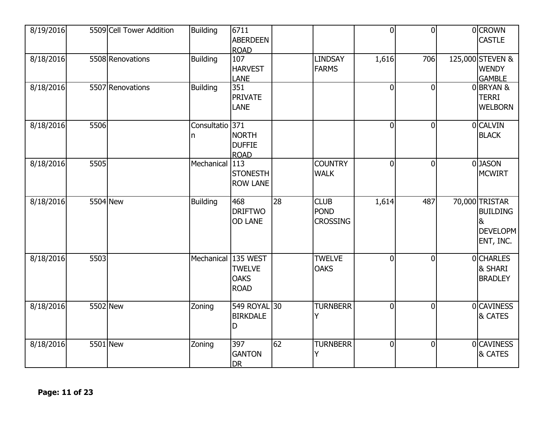| 8/19/2016 |      | 5509 Cell Tower Addition | <b>Building</b>       | 6711<br><b>ABERDEEN</b><br><b>ROAD</b>       |    |                                               | $\mathbf 0$    | $\overline{0}$ | 0 CROWN<br><b>CASTLE</b>                                                            |
|-----------|------|--------------------------|-----------------------|----------------------------------------------|----|-----------------------------------------------|----------------|----------------|-------------------------------------------------------------------------------------|
| 8/18/2016 |      | 5508 Renovations         | <b>Building</b>       | 107<br><b>HARVEST</b><br><b>LANE</b>         |    | <b>LINDSAY</b><br><b>FARMS</b>                | 1,616          | 706            | 125,000 STEVEN &<br><b>WENDY</b><br><b>GAMBLE</b>                                   |
| 8/18/2016 |      | 5507 Renovations         | <b>Building</b>       | 351<br><b>PRIVATE</b><br><b>LANE</b>         |    |                                               | $\overline{0}$ | $\overline{0}$ | 0BRYAN &<br><b>TERRI</b><br><b>WELBORN</b>                                          |
| 8/18/2016 | 5506 |                          | Consultatio 371<br>In | <b>NORTH</b><br><b>DUFFIE</b><br><b>ROAD</b> |    |                                               | $\overline{0}$ | $\overline{0}$ | 0 CALVIN<br><b>BLACK</b>                                                            |
| 8/18/2016 | 5505 |                          | Mechanical            | 113<br><b>STONESTH</b><br><b>ROW LANE</b>    |    | <b>COUNTRY</b><br><b>WALK</b>                 | 0              | $\overline{0}$ | 0JASON<br><b>MCWIRT</b>                                                             |
| 8/18/2016 |      | 5504 New                 | <b>Building</b>       | 468<br><b>DRIFTWO</b><br><b>OD LANE</b>      | 28 | <b>CLUB</b><br><b>POND</b><br><b>CROSSING</b> | 1,614          | 487            | 70,000 TRISTAR<br><b>BUILDING</b><br>8 <sup>1</sup><br><b>DEVELOPM</b><br>ENT, INC. |
| 8/18/2016 | 5503 |                          | Mechanical 135 WEST   | <b>TWELVE</b><br><b>OAKS</b><br><b>ROAD</b>  |    | <b>TWELVE</b><br><b>OAKS</b>                  | $\overline{0}$ | $\overline{0}$ | 0 CHARLES<br>& SHARI<br><b>BRADLEY</b>                                              |
| 8/18/2016 |      | 5502 New                 | Zoning                | 549 ROYAL 30<br><b>BIRKDALE</b>              |    | <b>TURNBERR</b><br>Y                          | $\overline{0}$ | $\overline{0}$ | 0 CAVINESS<br>& CATES                                                               |
|           |      |                          |                       | D                                            |    |                                               |                |                |                                                                                     |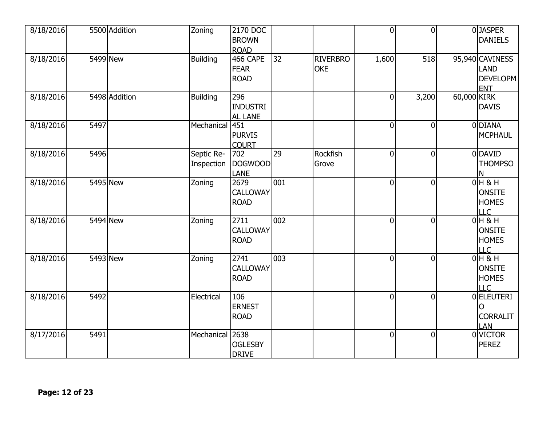| 8/18/2016 |          | 5500 Addition | Zoning                   | 2170 DOC<br><b>BROWN</b><br><b>ROAD</b>  |                  |                               | $\overline{0}$   | $\overline{0}$ | 0JASPER<br><b>DANIELS</b>                                |
|-----------|----------|---------------|--------------------------|------------------------------------------|------------------|-------------------------------|------------------|----------------|----------------------------------------------------------|
| 8/18/2016 |          | 5499 New      | Building                 | 466 CAPE<br><b>FEAR</b><br><b>ROAD</b>   | 32               | <b>RIVERBRO</b><br><b>OKE</b> | 1,600            | 518            | 95,940 CAVINESS<br>LAND<br><b>DEVELOPM</b><br><b>ENT</b> |
| 8/18/2016 |          | 5498 Addition | <b>Building</b>          | 296<br><b>INDUSTRI</b><br><b>AL LANE</b> |                  |                               | $\boldsymbol{0}$ | 3,200          | 60,000 KIRK<br><b>DAVIS</b>                              |
| 8/18/2016 | 5497     |               | Mechanical               | 451<br><b>PURVIS</b><br><b>COURT</b>     |                  |                               | $\overline{0}$   | $\overline{0}$ | 0 DIANA<br><b>MCPHAUL</b>                                |
| 8/18/2016 | 5496     |               | Septic Re-<br>Inspection | 702<br><b>DOGWOOD</b><br><b>LANE</b>     | $\overline{29}$  | Rockfish<br>Grove             | $\overline{0}$   | $\overline{0}$ | 0 DAVID<br><b>THOMPSO</b>                                |
| 8/18/2016 |          | 5495 New      | Zoning                   | 2679<br><b>CALLOWAY</b><br><b>ROAD</b>   | 001              |                               | $\overline{0}$   | $\overline{0}$ | $0H$ & H<br><b>ONSITE</b><br><b>HOMES</b><br>LLC         |
| 8/18/2016 |          | 5494 New      | Zoning                   | 2711<br><b>CALLOWAY</b><br><b>ROAD</b>   | 002              |                               | $\overline{0}$   | $\overline{0}$ | $0H$ & H<br><b>ONSITE</b><br><b>HOMES</b><br>LLC         |
| 8/18/2016 | 5493 New |               | Zoning                   | 2741<br><b>CALLOWAY</b><br><b>ROAD</b>   | $\overline{003}$ |                               | $\overline{0}$   | $\overline{0}$ | $0H$ & H<br><b>ONSITE</b><br><b>HOMES</b><br><b>LLC</b>  |
| 8/18/2016 | 5492     |               | Electrical               | 106<br><b>ERNEST</b><br><b>ROAD</b>      |                  |                               | $\overline{0}$   | $\overline{0}$ | 0 ELEUTERI<br><b>CORRALIT</b><br>LAN                     |
| 8/17/2016 | 5491     |               | Mechanical               | 2638<br><b>OGLESBY</b><br><b>DRIVE</b>   |                  |                               | $\overline{0}$   | $\overline{0}$ | 0 VICTOR<br><b>PEREZ</b>                                 |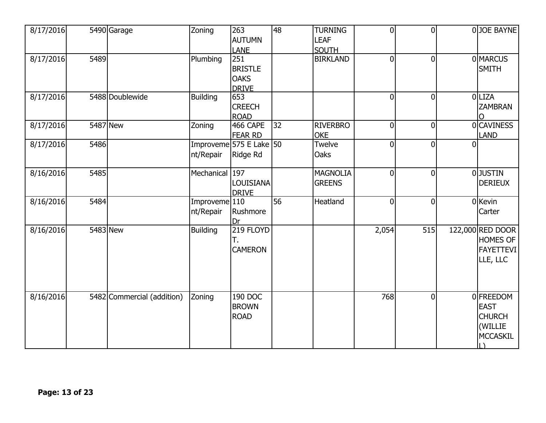| 8/17/2016 |      | 5490 Garage                | Zoning                       | 263<br>AUTUMN<br><b>LANE</b>                         | 48              | <b>TURNING</b><br><b>LEAF</b><br><b>SOUTH</b> | $\overline{0}$ | $\overline{0}$ |          | 0JOE BAYNE                                                          |
|-----------|------|----------------------------|------------------------------|------------------------------------------------------|-----------------|-----------------------------------------------|----------------|----------------|----------|---------------------------------------------------------------------|
| 8/17/2016 | 5489 |                            | Plumbing                     | 251<br><b>BRISTLE</b><br><b>OAKS</b><br><b>DRIVE</b> |                 | <b>BIRKLAND</b>                               | $\overline{0}$ | $\overline{0}$ |          | 0 MARCUS<br><b>SMITH</b>                                            |
| 8/17/2016 |      | 5488 Doublewide            | Building                     | 653<br><b>CREECH</b><br><b>ROAD</b>                  |                 |                                               | $\overline{0}$ | $\overline{0}$ |          | 0 LIZA<br><b>ZAMBRAN</b>                                            |
| 8/17/2016 |      | 5487 New                   | Zoning                       | 466 CAPE<br><b>FEAR RD</b>                           | $\overline{32}$ | <b>RIVERBRO</b><br><b>OKE</b>                 | $\mathbf{0}$   | $\mathbf 0$    |          | 0 CAVINESS<br><b>LAND</b>                                           |
| 8/17/2016 | 5486 |                            | nt/Repair                    | Improveme 575 E Lake 50<br>Ridge Rd                  |                 | Twelve<br><b>Oaks</b>                         | $\overline{0}$ | $\overline{0}$ | $\Omega$ |                                                                     |
| 8/16/2016 | 5485 |                            | Mechanical 197               | <b>LOUISIANA</b><br><b>DRIVE</b>                     |                 | <b>MAGNOLIA</b><br><b>GREENS</b>              | $\overline{0}$ | $\overline{0}$ |          | 0JUSTIN<br><b>DERIEUX</b>                                           |
| 8/16/2016 | 5484 |                            | Improveme $110$<br>nt/Repair | Rushmore<br>Dr                                       | $\overline{56}$ | Heatland                                      | $\overline{0}$ | $\overline{0}$ |          | 0 Kevin<br>Carter                                                   |
| 8/16/2016 |      | 5483 New                   | <b>Building</b>              | 219 FLOYD<br>Т.<br><b>CAMERON</b>                    |                 |                                               | 2,054          | 515            |          | 122,000 RED DOOR<br><b>HOMES OF</b><br><b>FAYETTEVI</b><br>LLE, LLC |
| 8/16/2016 |      | 5482 Commercial (addition) | Zoning                       | 190 DOC<br><b>BROWN</b><br><b>ROAD</b>               |                 |                                               | 768            | $\overline{0}$ |          | 0 FREEDOM<br><b>EAST</b><br><b>CHURCH</b><br>(WILLIE<br>MCCASKIL    |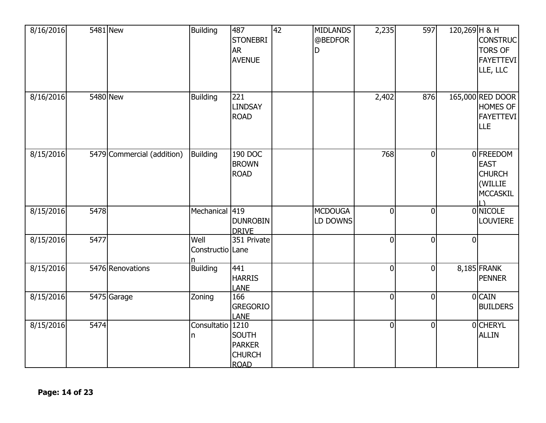| 8/16/2016 |      | 5481 New                   | <b>Building</b>          | 487<br><b>STONEBRI</b><br><b>AR</b><br><b>AVENUE</b>          | 42 | <b>MIDLANDS</b><br>@BEDFOR<br>D | 2,235          | 597            | 120,269 H & H  | <b>CONSTRUC</b><br><b>TORS OF</b><br><b>FAYETTEVI</b><br>LLE, LLC       |
|-----------|------|----------------------------|--------------------------|---------------------------------------------------------------|----|---------------------------------|----------------|----------------|----------------|-------------------------------------------------------------------------|
| 8/16/2016 |      | 5480 New                   | <b>Building</b>          | 221<br>LINDSAY<br><b>ROAD</b>                                 |    |                                 | 2,402          | 876            |                | 165,000 RED DOOR<br><b>HOMES OF</b><br><b>FAYETTEVI</b><br><b>LLE</b>   |
| 8/15/2016 |      | 5479 Commercial (addition) | <b>Building</b>          | 190 DOC<br><b>BROWN</b><br><b>ROAD</b>                        |    |                                 | 768            | $\mathbf 0$    |                | 0 FREEDOM<br><b>EAST</b><br><b>CHURCH</b><br>(WILLIE<br><b>MCCASKIL</b> |
| 8/15/2016 | 5478 |                            | Mechanical 419           | <b>DUNROBIN</b><br><b>DRIVE</b>                               |    | <b>MCDOUGA</b><br>LD DOWNS      | $\overline{0}$ | $\overline{0}$ |                | 0 NICOLE<br><b>LOUVIERE</b>                                             |
| 8/15/2016 | 5477 |                            | Well<br>Constructio Lane | 351 Private                                                   |    |                                 | $\overline{0}$ | $\overline{0}$ | $\overline{0}$ |                                                                         |
| 8/15/2016 |      | 5476 Renovations           | <b>Building</b>          | 441<br><b>HARRIS</b><br><b>LANE</b>                           |    |                                 | $\overline{0}$ | $\mathbf 0$    |                | 8,185 FRANK<br><b>PENNER</b>                                            |
| 8/15/2016 |      | 5475 Garage                | Zoning                   | 166<br><b>GREGORIO</b><br><b>LANE</b>                         |    |                                 | $\overline{0}$ | $\overline{0}$ |                | 0 CAIN<br><b>BUILDERS</b>                                               |
| 8/15/2016 | 5474 |                            | Consultatio 1210<br>n    | <b>SOUTH</b><br><b>PARKER</b><br><b>CHURCH</b><br><b>ROAD</b> |    |                                 | $\overline{0}$ | $\mathbf 0$    |                | <b>OCHERYL</b><br><b>ALLIN</b>                                          |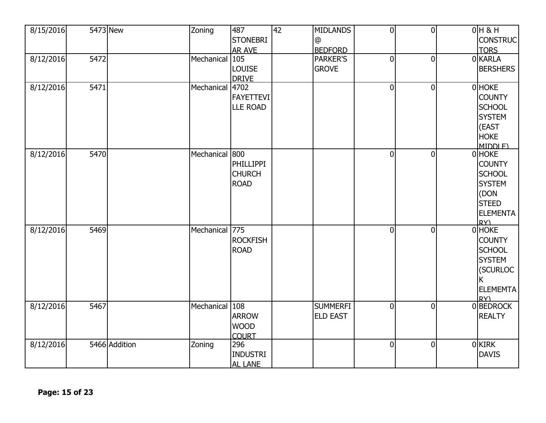| 8/15/2016 |      | 5473 New      | Zoning          | 487                 | 42 | <b>MIDLANDS</b> | $\overline{0}$ | $\overline{0}$ | $0H$ & H              |
|-----------|------|---------------|-----------------|---------------------|----|-----------------|----------------|----------------|-----------------------|
|           |      |               |                 | <b>STONEBRI</b>     |    | @               |                |                | <b>CONSTRUC</b>       |
|           |      |               |                 | <b>AR AVE</b>       |    | <b>BEDFORD</b>  |                |                | <b>TORS</b>           |
| 8/12/2016 | 5472 |               | Mechanical 105  |                     |    | <b>PARKER'S</b> | $\overline{0}$ | $\overline{0}$ | 0 KARLA               |
|           |      |               |                 | LOUISE              |    | <b>GROVE</b>    |                |                | <b>BERSHERS</b>       |
|           |      |               |                 | <b>DRIVE</b>        |    |                 |                |                |                       |
| 8/12/2016 | 5471 |               | Mechanical 4702 |                     |    |                 | $\overline{0}$ | $\overline{0}$ | 0 HOKE                |
|           |      |               |                 | <b>FAYETTEVI</b>    |    |                 |                |                | <b>COUNTY</b>         |
|           |      |               |                 | <b>LLE ROAD</b>     |    |                 |                |                | <b>SCHOOL</b>         |
|           |      |               |                 |                     |    |                 |                |                | <b>SYSTEM</b>         |
|           |      |               |                 |                     |    |                 |                |                | (EAST                 |
|           |      |               |                 |                     |    |                 |                |                | <b>HOKE</b>           |
|           |      |               |                 |                     |    |                 |                |                | MIDDLE)               |
| 8/12/2016 | 5470 |               | Mechanical 800  |                     |    |                 | $\overline{0}$ | $\overline{0}$ | 0 HOKE                |
|           |      |               |                 | <b>PHILLIPPI</b>    |    |                 |                |                | <b>COUNTY</b>         |
|           |      |               |                 | <b>CHURCH</b>       |    |                 |                |                | <b>SCHOOL</b>         |
|           |      |               |                 | <b>ROAD</b>         |    |                 |                |                | <b>SYSTEM</b>         |
|           |      |               |                 |                     |    |                 |                |                | (DON                  |
|           |      |               |                 |                     |    |                 |                |                | <b>STEED</b>          |
|           |      |               |                 |                     |    |                 |                |                |                       |
|           |      |               |                 |                     |    |                 |                |                | <b>ELEMENTA</b><br>RY |
| 8/12/2016 | 5469 |               | Mechanical 775  |                     |    |                 | $\overline{0}$ | $\overline{0}$ | 0 HOKE                |
|           |      |               |                 | <b>ROCKFISH</b>     |    |                 |                |                | <b>COUNTY</b>         |
|           |      |               |                 | <b>ROAD</b>         |    |                 |                |                | <b>SCHOOL</b>         |
|           |      |               |                 |                     |    |                 |                |                | <b>SYSTEM</b>         |
|           |      |               |                 |                     |    |                 |                |                |                       |
|           |      |               |                 |                     |    |                 |                |                | (SCURLOC              |
|           |      |               |                 |                     |    |                 |                |                | Κ                     |
|           |      |               |                 |                     |    |                 |                |                | <b>ELEMEMTA</b>       |
| 8/12/2016 | 5467 |               | Mechanical 108  |                     |    | <b>SUMMERFI</b> | $\overline{0}$ | $\overline{0}$ | RY<br>0BEDROCK        |
|           |      |               |                 | <b>ARROW</b>        |    | <b>ELD EAST</b> |                |                | <b>REALTY</b>         |
|           |      |               |                 | <b>WOOD</b>         |    |                 |                |                |                       |
|           |      |               |                 |                     |    |                 |                |                |                       |
| 8/12/2016 |      | 5466 Addition | Zoning          | <b>COURT</b><br>296 |    |                 | $\overline{0}$ | $\mathbf 0$    | $0$ KIRK              |
|           |      |               |                 |                     |    |                 |                |                | <b>DAVIS</b>          |
|           |      |               |                 | <b>INDUSTRI</b>     |    |                 |                |                |                       |
|           |      |               |                 | <b>AL LANE</b>      |    |                 |                |                |                       |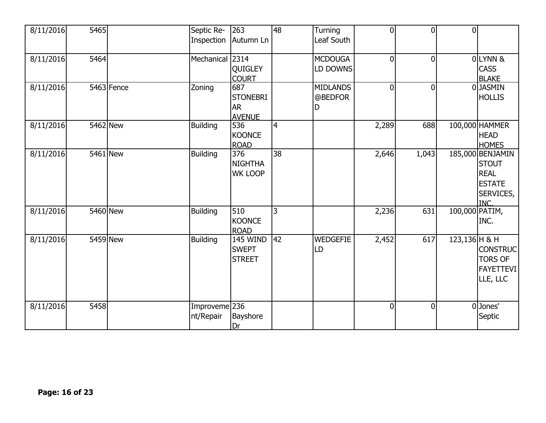| 8/11/2016 | 5465     |              | Septic Re-<br>Inspection              | 263<br>Autumn Ln                                     | 48             | Turning<br>Leaf South           | $\overline{0}$ | $\overline{0}$ | $\overline{0}$  |                                                                                             |
|-----------|----------|--------------|---------------------------------------|------------------------------------------------------|----------------|---------------------------------|----------------|----------------|-----------------|---------------------------------------------------------------------------------------------|
| 8/11/2016 | 5464     |              | Mechanical 2314                       | QUIGLEY<br><b>COURT</b>                              |                | <b>MCDOUGA</b><br>LD DOWNS      | $\overline{0}$ | $\overline{0}$ |                 | OLYNN &<br><b>CASS</b><br><b>BLAKE</b>                                                      |
| 8/11/2016 |          | $5463$ Fence | Zoning                                | 687<br><b>STONEBRI</b><br><b>AR</b><br><b>AVENUE</b> |                | <b>MIDLANDS</b><br>@BEDFOR<br>D | $\mathbf{0}$   | $\overline{0}$ |                 | 0 JASMIN<br><b>HOLLIS</b>                                                                   |
| 8/11/2016 | 5462 New |              | <b>Building</b>                       | 536<br><b>KOONCE</b><br><b>ROAD</b>                  | $\overline{4}$ |                                 | 2,289          | 688            |                 | 100,000 HAMMER<br><b>HEAD</b><br><b>HOMES</b>                                               |
| 8/11/2016 | 5461 New |              | <b>Building</b>                       | 376<br><b>NIGHTHA</b><br><b>WK LOOP</b>              | 38             |                                 | 2,646          | 1,043          |                 | 185,000 BENJAMIN<br><b>STOUT</b><br><b>REAL</b><br><b>ESTATE</b><br>SERVICES,<br><b>INC</b> |
| 8/11/2016 | 5460 New |              | <b>Building</b>                       | 510<br><b>KOONCE</b><br><b>ROAD</b>                  | 3              |                                 | 2,236          | 631            | 100,000 PATIM,  | INC.                                                                                        |
| 8/11/2016 | 5459 New |              | Building                              | <b>145 WIND</b><br><b>SWEPT</b><br><b>STREET</b>     | 42             | <b>WEDGEFIE</b><br>LD           | 2,452          | 617            | $123,136$ H & H | <b>CONSTRUC</b><br><b>TORS OF</b><br><b>FAYETTEVI</b><br>LLE, LLC                           |
| 8/11/2016 | 5458     |              | Improveme <sup>236</sup><br>nt/Repair | Bayshore<br>Dr                                       |                |                                 | $\overline{0}$ | $\overline{0}$ |                 | 0Jones'<br>Septic                                                                           |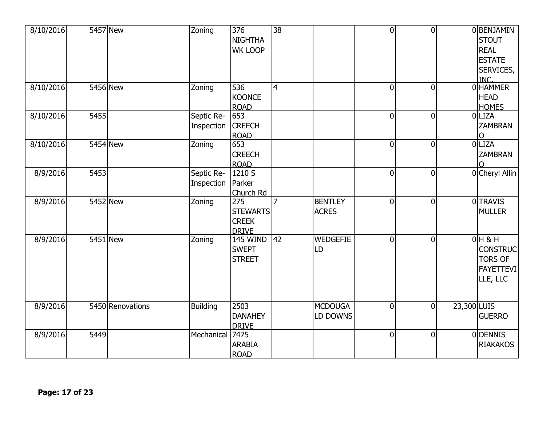| 8/10/2016 |      | 5457 New         | Zoning                   | 376<br>NIGHTHA<br><b>WK LOOP</b>                       | $\overline{38}$ |                                | $\overline{0}$ | $\overline{0}$ |             | 0 BENJAMIN<br><b>STOUT</b><br><b>REAL</b><br><b>ESTATE</b><br>SERVICES,<br><b>INC</b> |
|-----------|------|------------------|--------------------------|--------------------------------------------------------|-----------------|--------------------------------|----------------|----------------|-------------|---------------------------------------------------------------------------------------|
| 8/10/2016 |      | 5456 New         | Zoning                   | 536<br><b>KOONCE</b><br><b>ROAD</b>                    | $\overline{4}$  |                                | $\overline{0}$ | $\overline{0}$ |             | 0 HAMMER<br><b>HEAD</b><br><b>HOMES</b>                                               |
| 8/10/2016 | 5455 |                  | Septic Re-<br>Inspection | 653<br><b>CREECH</b><br><b>ROAD</b>                    |                 |                                | $\overline{0}$ | $\overline{0}$ |             | 0LIZA<br><b>ZAMBRAN</b>                                                               |
| 8/10/2016 |      | 5454 New         | Zoning                   | 653<br><b>CREECH</b><br><b>ROAD</b>                    |                 |                                | $\overline{0}$ | $\overline{0}$ |             | 0 LIZA<br><b>ZAMBRAN</b>                                                              |
| 8/9/2016  | 5453 |                  | Septic Re-<br>Inspection | 1210 S<br>Parker<br>Church Rd                          |                 |                                | $\overline{0}$ | $\mathbf 0$    |             | 0 Cheryl Allin                                                                        |
| 8/9/2016  |      | 5452 New         | Zoning                   | 275<br><b>STEWARTS</b><br><b>CREEK</b><br><b>DRIVE</b> | $\overline{7}$  | <b>BENTLEY</b><br><b>ACRES</b> | $\overline{0}$ | $\overline{0}$ |             | 0 TRAVIS<br><b>MULLER</b>                                                             |
| 8/9/2016  |      | 5451 New         | Zoning                   | <b>145 WIND</b><br><b>SWEPT</b><br><b>STREET</b>       | 42              | <b>WEDGEFIE</b><br>LD          | $\overline{0}$ | $\overline{0}$ |             | $0H$ & H<br><b>CONSTRUC</b><br><b>TORS OF</b><br><b>FAYETTEVI</b><br>LLE, LLC         |
| 8/9/2016  |      | 5450 Renovations | <b>Building</b>          | 2503<br><b>DANAHEY</b><br><b>DRIVE</b>                 |                 | <b>MCDOUGA</b><br>LD DOWNS     | $\overline{0}$ | $\overline{0}$ | 23,300 LUIS | <b>GUERRO</b>                                                                         |
| 8/9/2016  | 5449 |                  | Mechanical               | 7475<br><b>ARABIA</b><br><b>ROAD</b>                   |                 |                                | $\mathbf{0}$   | $\overline{0}$ |             | <b>ODENNIS</b><br><b>RIAKAKOS</b>                                                     |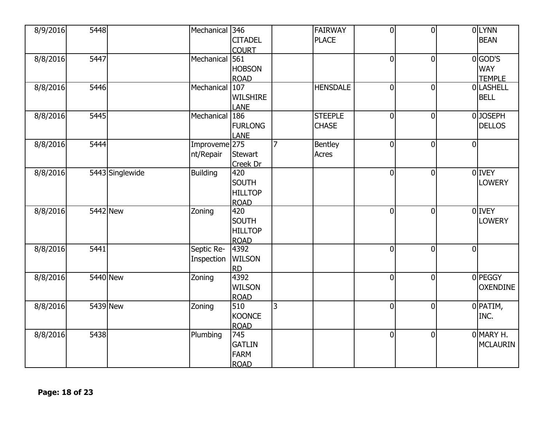| 8/9/2016 | 5448 |                 | Mechanical               | 346             |                | <b>FAIRWAY</b>  | $\overline{0}$ | $\overline{0}$ | 0LYNN           |
|----------|------|-----------------|--------------------------|-----------------|----------------|-----------------|----------------|----------------|-----------------|
|          |      |                 |                          | <b>CITADEL</b>  |                | <b>PLACE</b>    |                |                | <b>BEAN</b>     |
|          |      |                 |                          | <b>COURT</b>    |                |                 |                |                |                 |
| 8/8/2016 | 5447 |                 | Mechanical               | 561             |                |                 | $\overline{0}$ | $\overline{0}$ | $0$ GOD'S       |
|          |      |                 |                          | <b>HOBSON</b>   |                |                 |                |                | <b>WAY</b>      |
|          |      |                 |                          | <b>ROAD</b>     |                |                 |                |                | <b>TEMPLE</b>   |
| 8/8/2016 | 5446 |                 | Mechanical               | 107             |                | <b>HENSDALE</b> | $\overline{0}$ | $\overline{0}$ | 0 LASHELL       |
|          |      |                 |                          | <b>WILSHIRE</b> |                |                 |                |                | <b>BELL</b>     |
|          |      |                 |                          | <b>LANE</b>     |                |                 |                |                |                 |
| 8/8/2016 | 5445 |                 | Mechanical 186           |                 |                | <b>STEEPLE</b>  | $\overline{0}$ | $\mathbf 0$    | 0JOSEPH         |
|          |      |                 |                          | <b>FURLONG</b>  |                | <b>CHASE</b>    |                |                | <b>DELLOS</b>   |
|          |      |                 |                          | <b>LANE</b>     |                |                 |                |                |                 |
| 8/8/2016 | 5444 |                 | Improveme <sup>275</sup> |                 | $\overline{7}$ | Bentley         | $\overline{0}$ | $\mathbf 0$    | $\overline{0}$  |
|          |      |                 | nt/Repair                | <b>Stewart</b>  |                | Acres           |                |                |                 |
|          |      |                 |                          | <b>Creek Dr</b> |                |                 |                |                |                 |
| 8/8/2016 |      | 5443 Singlewide | <b>Building</b>          | 420             |                |                 | $\mathbf 0$    | $\mathbf 0$    | 0 IVEY          |
|          |      |                 |                          | <b>SOUTH</b>    |                |                 |                |                | <b>LOWERY</b>   |
|          |      |                 |                          | <b>HILLTOP</b>  |                |                 |                |                |                 |
|          |      |                 |                          | <b>ROAD</b>     |                |                 |                |                |                 |
| 8/8/2016 |      | 5442 New        | Zoning                   | 420             |                |                 | $\overline{0}$ | $\overline{0}$ | 0 IVEY          |
|          |      |                 |                          | <b>SOUTH</b>    |                |                 |                |                | <b>LOWERY</b>   |
|          |      |                 |                          | <b>HILLTOP</b>  |                |                 |                |                |                 |
|          |      |                 |                          | <b>ROAD</b>     |                |                 |                |                |                 |
| 8/8/2016 | 5441 |                 | Septic Re-               | 4392            |                |                 | $\overline{0}$ | $\overline{0}$ | $\overline{0}$  |
|          |      |                 | Inspection               | <b>WILSON</b>   |                |                 |                |                |                 |
|          |      |                 |                          | <b>RD</b>       |                |                 |                |                |                 |
| 8/8/2016 |      | 5440 New        | Zoning                   | 4392            |                |                 | $\overline{0}$ | $\overline{0}$ | 0 PEGGY         |
|          |      |                 |                          | <b>WILSON</b>   |                |                 |                |                | <b>OXENDINE</b> |
|          |      |                 |                          | <b>ROAD</b>     |                |                 |                |                |                 |
| 8/8/2016 |      | 5439 New        | Zoning                   | 510             | 3              |                 | $\mathbf 0$    | $\mathbf 0$    | $0$ PATIM,      |
|          |      |                 |                          | <b>KOONCE</b>   |                |                 |                |                | INC.            |
|          |      |                 |                          | <b>ROAD</b>     |                |                 |                |                |                 |
| 8/8/2016 | 5438 |                 | Plumbing                 | 745             |                |                 | $\overline{0}$ | $\mathbf 0$    | OMARY H.        |
|          |      |                 |                          | <b>GATLIN</b>   |                |                 |                |                | <b>MCLAURIN</b> |
|          |      |                 |                          | <b>FARM</b>     |                |                 |                |                |                 |
|          |      |                 |                          | <b>ROAD</b>     |                |                 |                |                |                 |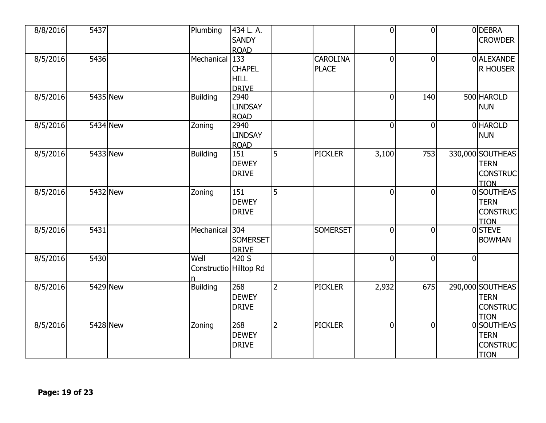| 8/8/2016 | 5437 |          | Plumbing                       | 434 L.A.<br><b>SANDY</b>                                           |                |                                 | $\overline{0}$ | $\overline{0}$ |                | 0 DEBRA<br><b>CROWDER</b>                                         |
|----------|------|----------|--------------------------------|--------------------------------------------------------------------|----------------|---------------------------------|----------------|----------------|----------------|-------------------------------------------------------------------|
| 8/5/2016 | 5436 |          | Mechanical                     | <b>ROAD</b><br>133<br><b>CHAPEL</b><br><b>HILL</b><br><b>DRIVE</b> |                | <b>CAROLINA</b><br><b>PLACE</b> | $\overline{0}$ | $\overline{0}$ |                | 0 ALEXANDE<br><b>R HOUSER</b>                                     |
| 8/5/2016 |      | 5435 New | <b>Building</b>                | 2940<br><b>LINDSAY</b><br><b>ROAD</b>                              |                |                                 | $\overline{0}$ | 140            |                | 500 HAROLD<br><b>NUN</b>                                          |
| 8/5/2016 |      | 5434 New | Zoning                         | 2940<br><b>LINDSAY</b><br><b>ROAD</b>                              |                |                                 | $\overline{0}$ | $\overline{0}$ |                | 0 HAROLD<br><b>NUN</b>                                            |
| 8/5/2016 |      | 5433 New | <b>Building</b>                | 151<br><b>DEWEY</b><br><b>DRIVE</b>                                | 5              | <b>PICKLER</b>                  | 3,100          | 753            |                | 330,000 SOUTHEAS<br><b>TERN</b><br><b>CONSTRUC</b><br><b>TION</b> |
| 8/5/2016 |      | 5432 New | Zoning                         | 151<br><b>DEWEY</b><br><b>DRIVE</b>                                | 5              |                                 | $\overline{0}$ | $\overline{0}$ |                | 0 SOUTHEAS<br><b>TERN</b><br><b>CONSTRUC</b><br><b>TION</b>       |
| 8/5/2016 | 5431 |          | Mechanical 304                 | <b>SOMERSET</b><br><b>DRIVE</b>                                    |                | <b>SOMERSET</b>                 | $\overline{0}$ | $\mathbf 0$    |                | 0 STEVE<br><b>BOWMAN</b>                                          |
| 8/5/2016 | 5430 |          | Well<br>Constructio Hilltop Rd | 420 S                                                              |                |                                 | $\overline{0}$ | $\overline{0}$ | $\overline{0}$ |                                                                   |
| 8/5/2016 |      | 5429 New | <b>Building</b>                | 268<br><b>DEWEY</b><br><b>DRIVE</b>                                | $\overline{2}$ | <b>PICKLER</b>                  | 2,932          | 675            |                | 290,000 SOUTHEAS<br><b>TERN</b><br><b>CONSTRUC</b><br><b>TION</b> |
| 8/5/2016 |      | 5428 New | Zoning                         | 268<br><b>DEWEY</b><br><b>DRIVE</b>                                | $\overline{2}$ | <b>PICKLER</b>                  | $\overline{0}$ | $\overline{0}$ |                | 0 SOUTHEAS<br><b>TERN</b><br><b>CONSTRUC</b><br><b>TION</b>       |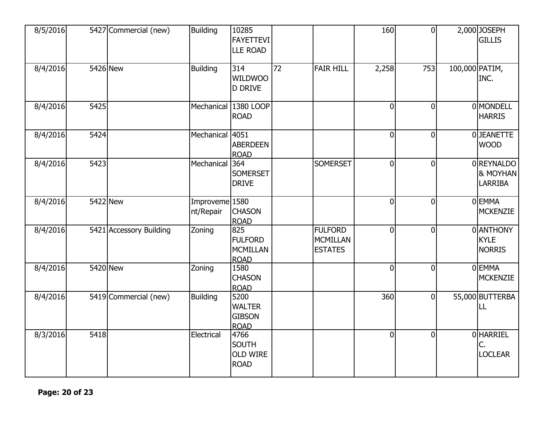| 8/5/2016 |      | 5427 Commercial (new)   | <b>Building</b>                        | 10285<br>FAYETTEVI<br><b>LLE ROAD</b>                  |                 |                                                     | 160            | $\overline{0}$ |                | 2,000 JOSEPH<br><b>GILLIS</b>             |
|----------|------|-------------------------|----------------------------------------|--------------------------------------------------------|-----------------|-----------------------------------------------------|----------------|----------------|----------------|-------------------------------------------|
| 8/4/2016 |      | 5426 New                | <b>Building</b>                        | 314<br>WILDWOO<br><b>D DRIVE</b>                       | $\overline{72}$ | <b>FAIR HILL</b>                                    | 2,258          | 753            | 100,000 PATIM, | INC.                                      |
| 8/4/2016 | 5425 |                         | Mechanical                             | 1380 LOOP<br><b>ROAD</b>                               |                 |                                                     | $\overline{0}$ | $\overline{0}$ |                | 0 MONDELL<br><b>HARRIS</b>                |
| 8/4/2016 | 5424 |                         | Mechanical 4051                        | <b>ABERDEEN</b><br><b>ROAD</b>                         |                 |                                                     | $\overline{0}$ | $\overline{0}$ |                | 0JEANETTE<br><b>WOOD</b>                  |
| 8/4/2016 | 5423 |                         | Mechanical                             | 364<br><b>SOMERSET</b><br><b>DRIVE</b>                 |                 | <b>SOMERSET</b>                                     | $\overline{0}$ | $\overline{0}$ |                | 0REYNALDO<br>& MOYHAN<br><b>LARRIBA</b>   |
| 8/4/2016 |      | 5422 New                | Improveme <sub>1580</sub><br>nt/Repair | <b>CHASON</b><br><b>ROAD</b>                           |                 |                                                     | $\overline{0}$ | $\overline{0}$ |                | 0 EMMA<br><b>MCKENZIE</b>                 |
| 8/4/2016 |      | 5421 Accessory Building | Zoning                                 | 825<br><b>FULFORD</b><br>MCMILLAN<br><b>ROAD</b>       |                 | <b>FULFORD</b><br><b>MCMILLAN</b><br><b>ESTATES</b> | $\overline{0}$ | $\overline{0}$ |                | 0 ANTHONY<br><b>KYLE</b><br><b>NORRIS</b> |
| 8/4/2016 |      | 5420 New                | Zoning                                 | 1580<br><b>CHASON</b><br><b>ROAD</b>                   |                 |                                                     | $\overline{0}$ | $\overline{0}$ |                | 0 EMMA<br><b>MCKENZIE</b>                 |
| 8/4/2016 |      | 5419 Commercial (new)   | <b>Building</b>                        | 5200<br><b>WALTER</b><br><b>GIBSON</b><br><b>ROAD</b>  |                 |                                                     | 360            | $\mathbf 0$    |                | 55,000 BUTTERBA<br>LL                     |
| 8/3/2016 | 5418 |                         | Electrical                             | 4766<br><b>SOUTH</b><br><b>OLD WIRE</b><br><b>ROAD</b> |                 |                                                     | $\overline{0}$ | $\overline{0}$ |                | <b>OHARRIEL</b><br>Ċ.<br><b>LOCLEAR</b>   |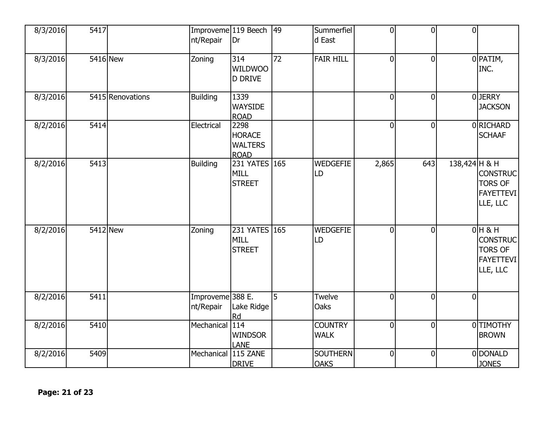| 8/3/2016 | 5417 |                  | Improveme 119 Beech<br>nt/Repair | Dr                                                     | $ 49\rangle$    | Summerfiel<br>d East           | $\overline{0}$ | $\overline{0}$ | $\overline{0}$ |                                                                               |
|----------|------|------------------|----------------------------------|--------------------------------------------------------|-----------------|--------------------------------|----------------|----------------|----------------|-------------------------------------------------------------------------------|
| 8/3/2016 |      | 5416 New         | Zoning                           | 314<br><b>WILDWOO</b><br><b>D DRIVE</b>                | $\overline{72}$ | <b>FAIR HILL</b>               | $\overline{0}$ | $\overline{0}$ |                | 0 PATIM,<br>INC.                                                              |
| 8/3/2016 |      | 5415 Renovations | <b>Building</b>                  | 1339<br><b>WAYSIDE</b><br><b>ROAD</b>                  |                 |                                | $\overline{0}$ | $\overline{0}$ |                | 0JERRY<br><b>JACKSON</b>                                                      |
| 8/2/2016 | 5414 |                  | Electrical                       | 2298<br><b>HORACE</b><br><b>WALTERS</b><br><b>ROAD</b> |                 |                                | $\overline{0}$ | $\overline{0}$ |                | 0 RICHARD<br><b>SCHAAF</b>                                                    |
| 8/2/2016 | 5413 |                  | <b>Building</b>                  | 231 YATES 165<br><b>MILL</b><br><b>STREET</b>          |                 | <b>WEDGEFIE</b><br>LD          | 2,865          | 643            | 138,424 H & H  | <b>CONSTRUC</b><br><b>TORS OF</b><br><b>FAYETTEVI</b><br>LLE, LLC             |
| 8/2/2016 |      | 5412 New         | Zoning                           | 231 YATES 165<br><b>MILL</b><br><b>STREET</b>          |                 | <b>WEDGEFIE</b><br>LD          | $\overline{0}$ | $\overline{0}$ |                | $0H$ & H<br><b>CONSTRUC</b><br><b>TORS OF</b><br><b>FAYETTEVI</b><br>LLE, LLC |
| 8/2/2016 | 5411 |                  | Improveme 388 E.<br>nt/Repair    | Lake Ridge<br><b>Rd</b>                                | 5               | Twelve<br>Oaks                 | $\overline{0}$ | $\overline{0}$ | $\Omega$       |                                                                               |
| 8/2/2016 | 5410 |                  | Mechanical                       | 114<br><b>WINDSOR</b><br><b>LANE</b>                   |                 | <b>COUNTRY</b><br><b>WALK</b>  | $\overline{0}$ | $\overline{0}$ |                | 0TIMOTHY<br><b>BROWN</b>                                                      |
| 8/2/2016 | 5409 |                  | Mechanical                       | 115 ZANE<br><b>DRIVE</b>                               |                 | <b>SOUTHERN</b><br><b>OAKS</b> | $\overline{0}$ | $\overline{0}$ |                | 0 DONALD<br><b>JONES</b>                                                      |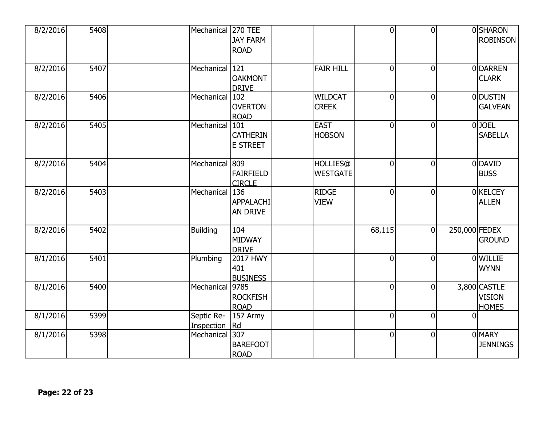| 8/2/2016 | 5408 | Mechanical               | <b>270 TEE</b><br><b>JAY FARM</b><br><b>ROAD</b> |                                    | $\overline{0}$ | $\overline{0}$ |               | 0SHARON<br><b>ROBINSON</b>                    |
|----------|------|--------------------------|--------------------------------------------------|------------------------------------|----------------|----------------|---------------|-----------------------------------------------|
| 8/2/2016 | 5407 | Mechanical 121           | <b>OAKMONT</b><br><b>DRIVE</b>                   | <b>FAIR HILL</b>                   | $\overline{0}$ | $\mathbf 0$    |               | 0 DARREN<br><b>CLARK</b>                      |
| 8/2/2016 | 5406 | Mechanical               | 102<br><b>OVERTON</b><br><b>ROAD</b>             | <b>WILDCAT</b><br><b>CREEK</b>     | $\overline{0}$ | $\mathbf 0$    |               | 0 DUSTIN<br><b>GALVEAN</b>                    |
| 8/2/2016 | 5405 | Mechanical               | 101<br><b>CATHERIN</b><br><b>E STREET</b>        | <b>EAST</b><br><b>HOBSON</b>       | $\overline{0}$ | $\overline{0}$ |               | $0$ JOEL<br><b>SABELLA</b>                    |
| 8/2/2016 | 5404 | Mechanical 809           | <b>FAIRFIELD</b><br><b>CIRCLE</b>                | <b>HOLLIES@</b><br><b>WESTGATE</b> | $\overline{0}$ | $\overline{0}$ |               | 0 DAVID<br><b>BUSS</b>                        |
| 8/2/2016 | 5403 | Mechanical               | 136<br><b>APPALACHI</b><br><b>AN DRIVE</b>       | <b>RIDGE</b><br><b>VIEW</b>        | $\overline{0}$ | $\overline{0}$ |               | 0 KELCEY<br><b>ALLEN</b>                      |
| 8/2/2016 | 5402 | <b>Building</b>          | 104<br><b>MIDWAY</b><br><b>DRIVE</b>             |                                    | 68,115         | $\overline{0}$ | 250,000 FEDEX | <b>GROUND</b>                                 |
| 8/1/2016 | 5401 | Plumbing                 | <b>2017 HWY</b><br>401<br><b>BUSINESS</b>        |                                    | $\overline{0}$ | $\overline{0}$ |               | <b>OWILLIE</b><br><b>WYNN</b>                 |
| 8/1/2016 | 5400 | Mechanical 9785          | <b>ROCKFISH</b><br><b>ROAD</b>                   |                                    | $\overline{0}$ | $\mathbf 0$    |               | 3,800 CASTLE<br><b>VISION</b><br><b>HOMES</b> |
| 8/1/2016 | 5399 | Septic Re-<br>Inspection | 157 Army<br>Rd                                   |                                    | $\overline{0}$ | $\overline{0}$ | $\Omega$      |                                               |
| 8/1/2016 | 5398 | Mechanical               | 307<br><b>BAREFOOT</b><br><b>ROAD</b>            |                                    | $\overline{0}$ | $\overline{0}$ |               | <b>O</b> MARY<br><b>JENNINGS</b>              |